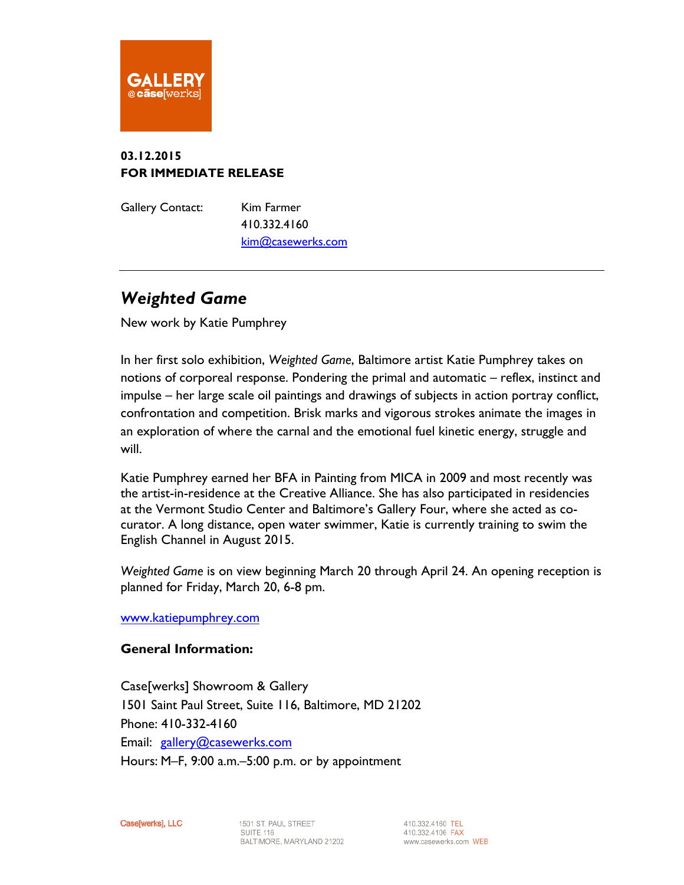

## **03.12.2015 FOR IMMEDIATE RELEASE**

Gallery Contact: Kim Farmer 410.332.4160 [kim@casewerks.com](mailto:kim@casewerks.com)

## *Weighted Game*

New work by Katie Pumphrey

In her first solo exhibition, *Weighted Game*, Baltimore artist Katie Pumphrey takes on notions of corporeal response. Pondering the primal and automatic – reflex, instinct and impulse – her large scale oil paintings and drawings of subjects in action portray conflict, confrontation and competition. Brisk marks and vigorous strokes animate the images in an exploration of where the carnal and the emotional fuel kinetic energy, struggle and will.

Katie Pumphrey earned her BFA in Painting from MICA in 2009 and most recently was the artist-in-residence at the Creative Alliance. She has also participated in residencies at the Vermont Studio Center and Baltimore's Gallery Four, where she acted as cocurator. A long distance, open water swimmer, Katie is currently training to swim the English Channel in August 2015.

*Weighted Game* is on view beginning March 20 through April 24. An opening reception is planned for Friday, March 20, 6-8 pm.

[www.katiepumphrey.com](http://www.katiepumphrey.com/)

## **General Information:**

Case[werks] Showroom & Gallery 1501 Saint Paul Street, Suite 116, Baltimore, MD 21202 Phone: 410-332-4160 Email: [gallery@casewerks.com](mailto:gallery@casewerks.com) Hours: M–F, 9:00 a.m.–5:00 p.m. or by appointment